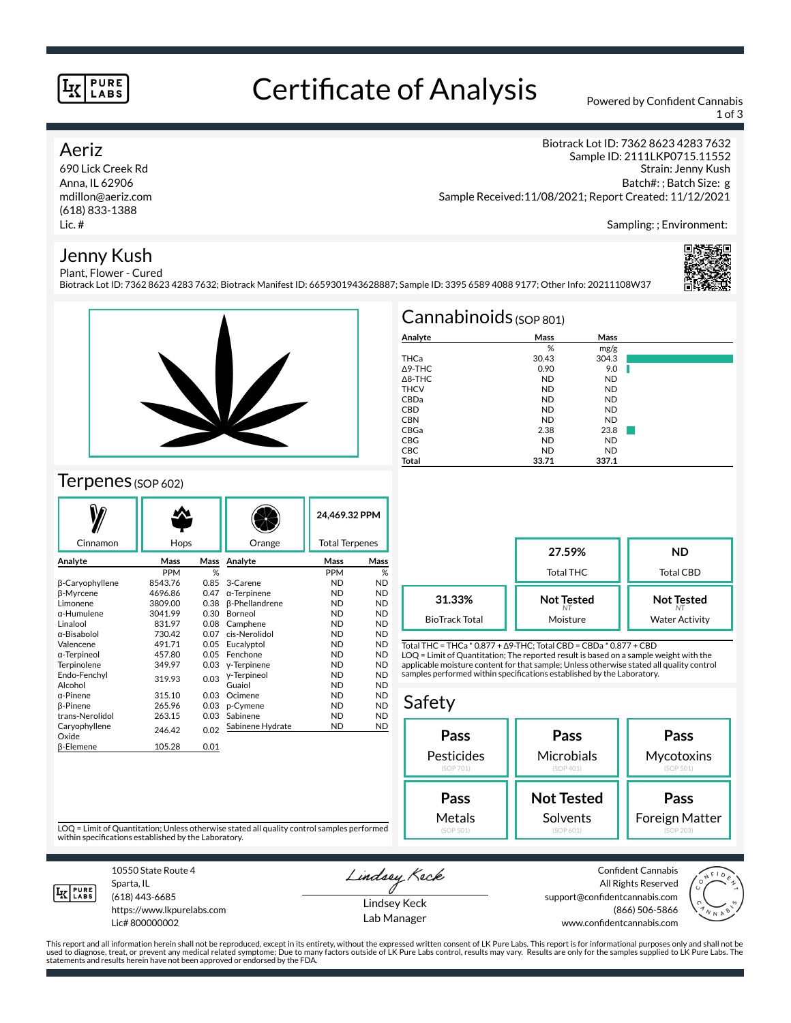#### **PURE LABS**

## Certificate of Analysis Powered by Confident Cannabis

Biotrack Lot ID: 7362 8623 4283 7632; Biotrack Manifest ID: 6659301943628887; Sample ID: 3395 6589 4088 9177; Other Info: 20211108W37

1 of 3

Biotrack Lot ID: 7362 8623 4283 7632 Sample ID: 2111LKP0715.11552

#### Aeriz

690 Lick Creek Rd Anna, IL 62906 mdillon@aeriz.com (618) 833-1388 Lic. #

#### Jenny Kush Plant, Flower - Cured

Sampling: ; Environment:

Strain: Jenny Kush Batch#: ; Batch Size: g



### Terpenes (SOP 602)

|                        |            |      |                       | 24.469.32 PPM         |           |
|------------------------|------------|------|-----------------------|-----------------------|-----------|
| Cinnamon               | Hops       |      | Orange                | <b>Total Terpenes</b> |           |
| Analyte                | Mass       | Mass | Analyte               | Mass                  | Mass      |
|                        | <b>PPM</b> | %    |                       | <b>PPM</b>            | %         |
| β-Caryophyllene        | 8543.76    | 0.85 | 3-Carene              | <b>ND</b>             | <b>ND</b> |
| β-Myrcene              | 4696.86    | 0.47 | $\alpha$ -Terpinene   | <b>ND</b>             | <b>ND</b> |
| Limonene               | 3809.00    | 0.38 | <b>ß-Phellandrene</b> | <b>ND</b>             | <b>ND</b> |
| $\alpha$ -Humulene     | 3041.99    | 0.30 | Borneol               | <b>ND</b>             | <b>ND</b> |
| Linalool               | 831.97     | 0.08 | Camphene              | <b>ND</b>             | <b>ND</b> |
| α-Bisabolol            | 730.42     | 0.07 | cis-Nerolidol         | <b>ND</b>             | <b>ND</b> |
| Valencene              | 491.71     | 0.05 | Eucalyptol            | <b>ND</b>             | <b>ND</b> |
| α-Terpineol            | 457.80     | 0.05 | Fenchone              | <b>ND</b>             | <b>ND</b> |
| Terpinolene            | 349.97     | 0.03 | y-Terpinene           | <b>ND</b>             | <b>ND</b> |
| Endo-Fenchyl           | 319.93     | 0.03 | y-Terpineol           | <b>ND</b>             | <b>ND</b> |
| Alcohol                |            |      | Guaiol                | <b>ND</b>             | <b>ND</b> |
| $\alpha$ -Pinene       | 315.10     | 0.03 | Ocimene               | <b>ND</b>             | <b>ND</b> |
| <b>B-Pinene</b>        | 265.96     | 0.03 | p-Cymene              | <b>ND</b>             | <b>ND</b> |
| trans-Nerolidol        | 263.15     | 0.03 | Sabinene              | <b>ND</b>             | <b>ND</b> |
| Caryophyllene<br>Oxide | 246.42     | 0.02 | Sabinene Hydrate      | <b>ND</b>             | <b>ND</b> |
| <b>ß-Elemene</b>       | 105.28     | 0.01 |                       |                       |           |
|                        |            |      |                       |                       |           |

| $Cannabinoids$ (SOP 801) |           |           |  |  |  |  |
|--------------------------|-----------|-----------|--|--|--|--|
| Analyte                  | Mass      | Mass      |  |  |  |  |
|                          | %         | mg/g      |  |  |  |  |
| THCa                     | 30.43     | 304.3     |  |  |  |  |
| $\triangle$ 9-THC        | 0.90      | 9.0       |  |  |  |  |
| $\triangle$ 8-THC        | <b>ND</b> | <b>ND</b> |  |  |  |  |
| <b>THCV</b>              | <b>ND</b> | <b>ND</b> |  |  |  |  |
| CBDa                     | <b>ND</b> | <b>ND</b> |  |  |  |  |
| <b>CBD</b>               | <b>ND</b> | <b>ND</b> |  |  |  |  |
| <b>CBN</b>               | <b>ND</b> | <b>ND</b> |  |  |  |  |
| CBGa                     | 2.38      | 23.8      |  |  |  |  |
| <b>CBG</b>               | <b>ND</b> | <b>ND</b> |  |  |  |  |
| <b>CBC</b>               | <b>ND</b> | <b>ND</b> |  |  |  |  |
| Total                    | 33.71     | 337.1     |  |  |  |  |

Sample Received:11/08/2021; Report Created: 11/12/2021

|                       | 27.59%<br><b>Total THC</b> | ND<br>Total CBD       |  |
|-----------------------|----------------------------|-----------------------|--|
| 31.33%                | <b>Not Tested</b>          | <b>Not Tested</b>     |  |
| <b>BioTrack Total</b> | Moisture                   | <b>Water Activity</b> |  |

Total THC = THCa \* 0.877 + ∆9-THC; Total CBD = CBDa \* 0.877 + CBD LOQ = Limit of Quantitation; The reported result is based on a sample weight with the applicable moisture content for that sample; Unless otherwise stated all quality control samples performed within specifications established by the Laboratory.

#### Safety **Pass** Pesticides (SOP 701) **Pass Microbials** (SOP 401) **Pass Mycotoxins** (SOP 501) **Not Tested** Solvents **Pass** Foreign Matter **Pass** Metals

LOQ = Limit of Quantitation; Unless otherwise stated all quality control samples performed within specifications established by the Laboratory.



Sparta, IL (618) 443-6685

10550 State Route 4

https://www.lkpurelabs.com Lic# 800000002

Lindsey Keck

Lindsey Keck Lab Manager

Confident Cannabis All Rights Reserved support@confidentcannabis.com (866) 506-5866 www.confidentcannabis.com



This report and all information herein shall not be reproduced, except in its entirety, without the expressed written consent of LK Pure Labs. This report is for informational purposes only and shall not be<br>used to diagnos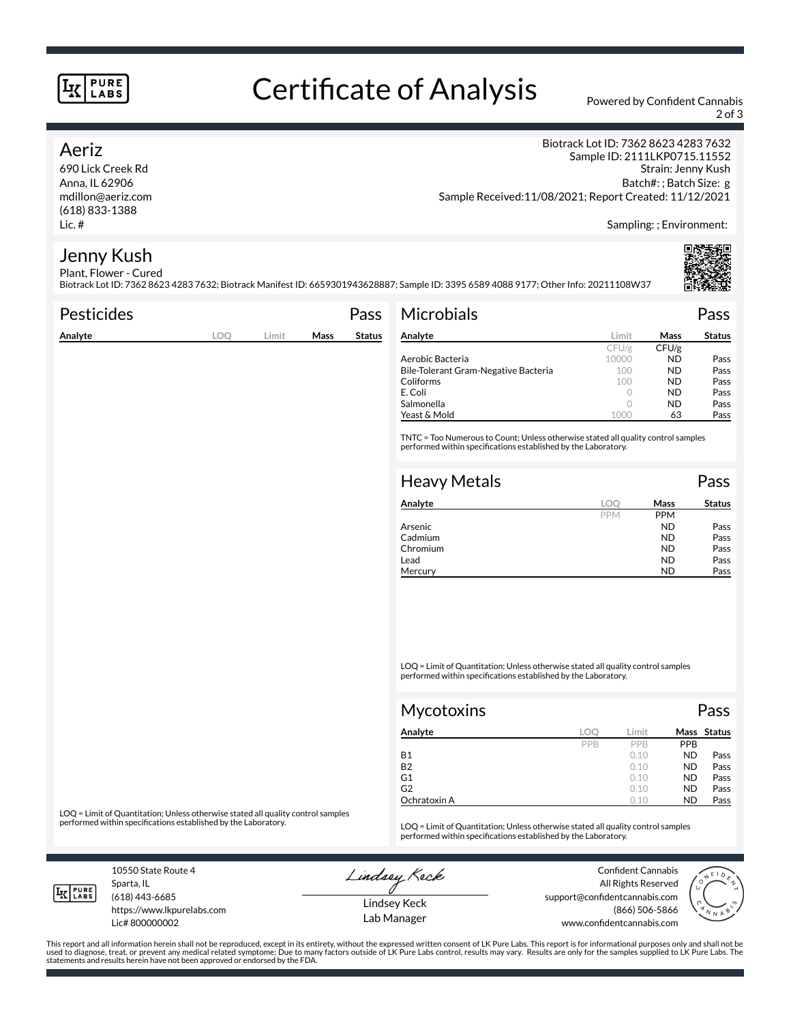#### **PURE LABS**

# Certificate of Analysis Powered by Confident Cannabis

2 of 3

#### Aeriz

690 Lick Creek Rd Anna, IL 62906 mdillon@aeriz.com (618) 833-1388 Lic. #

Biotrack Lot ID: 7362 8623 4283 7632 Sample ID: 2111LKP0715.11552 Strain: Jenny Kush Batch#: ; Batch Size: g Sample Received:11/08/2021; Report Created: 11/12/2021

Sampling: ; Environment:

#### Jenny Kush Plant, Flower - Cured

Biotrack Lot ID: 7362 8623 4283 7632; Biotrack Manifest ID: 6659301943628887; Sample ID: 3395 6589 4088 9177; Other Info: 20211108W37

| <b>Pesticides</b> |     |       |      | Pass          | <b>Microbials</b>                                                                                                                                   |         |             | Pass          |
|-------------------|-----|-------|------|---------------|-----------------------------------------------------------------------------------------------------------------------------------------------------|---------|-------------|---------------|
| Analyte           | LOQ | Limit | Mass | <b>Status</b> | Analyte                                                                                                                                             | Limit   | <b>Mass</b> | <b>Status</b> |
|                   |     |       |      |               |                                                                                                                                                     | CFU/g   | CFU/g       |               |
|                   |     |       |      |               | Aerobic Bacteria                                                                                                                                    | 10000   | ND.         | Pass          |
|                   |     |       |      |               | Bile-Tolerant Gram-Negative Bacteria                                                                                                                | 100     | <b>ND</b>   | Pass          |
|                   |     |       |      |               | Coliforms                                                                                                                                           | 100     | <b>ND</b>   | Pass          |
|                   |     |       |      |               | E. Coli                                                                                                                                             | $\circ$ | <b>ND</b>   | Pass          |
|                   |     |       |      |               | Salmonella                                                                                                                                          | $\circ$ | ND.         | Pass          |
|                   |     |       |      |               | Yeast & Mold                                                                                                                                        | 1000    | 63          | Pass          |
|                   |     |       |      |               | TNTC = Too Numerous to Count; Unless otherwise stated all quality control samples<br>performed within specifications established by the Laboratory. |         |             |               |
|                   |     |       |      |               | <b>Heavy Metals</b>                                                                                                                                 |         |             | Pass          |
|                   |     |       |      |               | Analyta                                                                                                                                             | $\cap$  | Macc        | $C + 1$       |

| Analyte  | LOC        | Mass       | Status |
|----------|------------|------------|--------|
|          | <b>PPM</b> | <b>PPM</b> |        |
| Arsenic  |            | <b>ND</b>  | Pass   |
| Cadmium  |            | <b>ND</b>  | Pass   |
| Chromium |            | <b>ND</b>  | Pass   |
| Lead     |            | <b>ND</b>  | Pass   |
| Mercury  |            | ND         | Pass   |

LOQ = Limit of Quantitation; Unless otherwise stated all quality control samples performed within specifications established by the Laboratory.

| <b>Mycotoxins</b> |     | Pass  |            |             |
|-------------------|-----|-------|------------|-------------|
| Analyte           | LOC | Limit |            | Mass Status |
|                   | PPB | PPB   | <b>PPB</b> |             |
| <b>B1</b>         |     | 0.10  | <b>ND</b>  | Pass        |
| <b>B2</b>         |     | 0.10  | <b>ND</b>  | Pass        |
| G1                |     | 0.10  | <b>ND</b>  | Pass        |
| G2                |     | 0.10  | <b>ND</b>  | Pass        |
| Ochratoxin A      |     | 0.10  | <b>ND</b>  | Pass        |

LOQ = Limit of Quantitation; Unless otherwise stated all quality control samples<br>performed within specifications established by the Laboratory.

LOQ = Limit of Quantitation; Unless otherwise stated all quality control samples performed within specifications established by the Laboratory.

10550 State Route 4 Sparta, IL

**LK** LABS

(618) 443-6685

Lic# 800000002

https://www.lkpurelabs.com

Lindsey Keck

Confident Cannabis All Rights Reserved support@confidentcannabis.com (866) 506-5866 www.confidentcannabis.com



Lindsey Keck Lab Manager

This report and all information herein shall not be reproduced, except in its entirety, without the expressed written consent of LK Pure Labs. This report is for informational purposes only and shall not be<br>used to diagnos